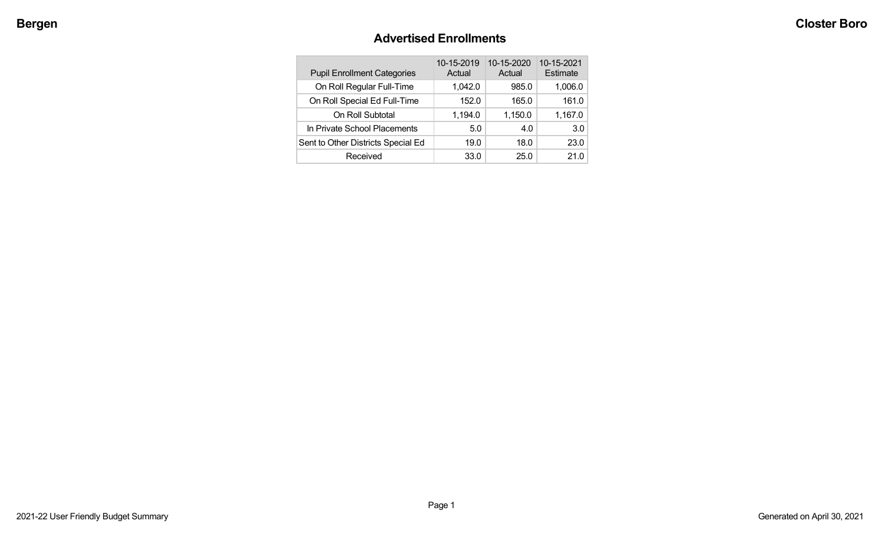# **Advertised Enrollments**

| <b>Pupil Enrollment Categories</b> | 10-15-2019<br>Actual | 10-15-2020<br>Actual | 10-15-2021<br>Estimate |
|------------------------------------|----------------------|----------------------|------------------------|
| On Roll Regular Full-Time          | 1,042.0              | 985.0                | 1,006.0                |
| On Roll Special Ed Full-Time       | 152.0                | 165.0                | 161.0                  |
| On Roll Subtotal                   | 1,194.0              | 1,150.0              | 1,167.0                |
| In Private School Placements       | 5.0                  | 4.0                  | 3.0                    |
| Sent to Other Districts Special Ed | 19.0                 | 18.0                 | 23.0                   |
| Received                           | 33.0                 | 25.0                 | 21.0                   |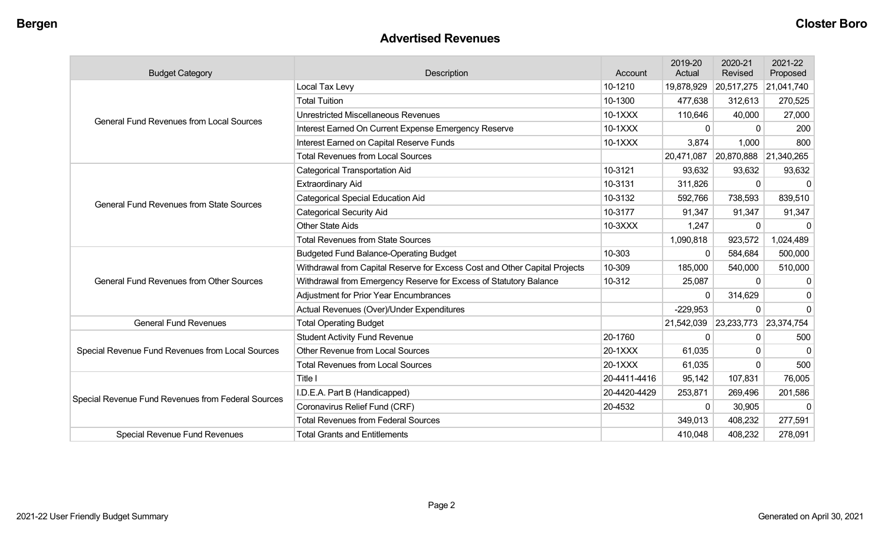#### **Advertised Revenues**

| <b>Budget Category</b>                             | Description                                                                | Account      | 2019-20<br>Actual | 2020-21<br>Revised    | 2021-22<br>Proposed |
|----------------------------------------------------|----------------------------------------------------------------------------|--------------|-------------------|-----------------------|---------------------|
|                                                    | Local Tax Levy                                                             | 10-1210      | 19,878,929        | 20,517,275            | 21,041,740          |
|                                                    | <b>Total Tuition</b>                                                       | 10-1300      | 477,638           | 312,613               | 270,525             |
| <b>General Fund Revenues from Local Sources</b>    | <b>Unrestricted Miscellaneous Revenues</b>                                 | 10-1XXX      | 110,646           | 40,000                | 27,000              |
|                                                    | Interest Earned On Current Expense Emergency Reserve                       | 10-1XXX      | $\mathbf{0}$      | 0                     | 200                 |
|                                                    | Interest Earned on Capital Reserve Funds                                   | 10-1XXX      | 3,874             | 1,000                 | 800                 |
|                                                    | <b>Total Revenues from Local Sources</b>                                   |              | 20,471,087        | 20,870,888            | 21,340,265          |
|                                                    | <b>Categorical Transportation Aid</b>                                      | 10-3121      | 93,632            | 93,632                | 93,632              |
|                                                    | <b>Extraordinary Aid</b>                                                   | 10-3131      | 311,826           | $\Omega$              | $\Omega$            |
| <b>General Fund Revenues from State Sources</b>    | <b>Categorical Special Education Aid</b>                                   | 10-3132      | 592,766           | 738,593               | 839,510             |
|                                                    | <b>Categorical Security Aid</b>                                            | 10-3177      | 91,347            | 91,347                | 91,347              |
|                                                    | <b>Other State Aids</b>                                                    | 10-3XXX      | 1,247             | 0                     | ∩                   |
|                                                    | <b>Total Revenues from State Sources</b>                                   |              | 1,090,818         | 923,572               | 1,024,489           |
|                                                    | <b>Budgeted Fund Balance-Operating Budget</b>                              | 10-303       | $\mathbf{0}$      | 584,684               | 500,000             |
|                                                    | Withdrawal from Capital Reserve for Excess Cost and Other Capital Projects | 10-309       | 185,000           | 540,000               | 510,000             |
| <b>General Fund Revenues from Other Sources</b>    | Withdrawal from Emergency Reserve for Excess of Statutory Balance          | 10-312       | 25,087            | 0                     | 0                   |
|                                                    | <b>Adjustment for Prior Year Encumbrances</b>                              |              | $\Omega$          | 314,629               | $\Omega$            |
|                                                    | Actual Revenues (Over)/Under Expenditures                                  |              | $-229,953$        | $\Omega$              | $\Omega$            |
| <b>General Fund Revenues</b>                       | <b>Total Operating Budget</b>                                              |              | 21,542,039        | 23,233,773 23,374,754 |                     |
|                                                    | <b>Student Activity Fund Revenue</b>                                       | 20-1760      | $\Omega$          | 0                     | 500                 |
| Special Revenue Fund Revenues from Local Sources   | Other Revenue from Local Sources                                           | 20-1XXX      | 61,035            | 0                     | ∩                   |
|                                                    | <b>Total Revenues from Local Sources</b>                                   | 20-1XXX      | 61,035            | 0                     | 500                 |
|                                                    | Title I                                                                    | 20-4411-4416 | 95,142            | 107,831               | 76,005              |
|                                                    | I.D.E.A. Part B (Handicapped)                                              | 20-4420-4429 | 253,871           | 269,496               | 201,586             |
| Special Revenue Fund Revenues from Federal Sources | Coronavirus Relief Fund (CRF)                                              | 20-4532      | $\mathbf{0}$      | 30,905                | $\Omega$            |
|                                                    | <b>Total Revenues from Federal Sources</b>                                 |              | 349,013           | 408,232               | 277,591             |
| Special Revenue Fund Revenues                      | <b>Total Grants and Entitlements</b>                                       |              | 410,048           | 408,232               | 278,091             |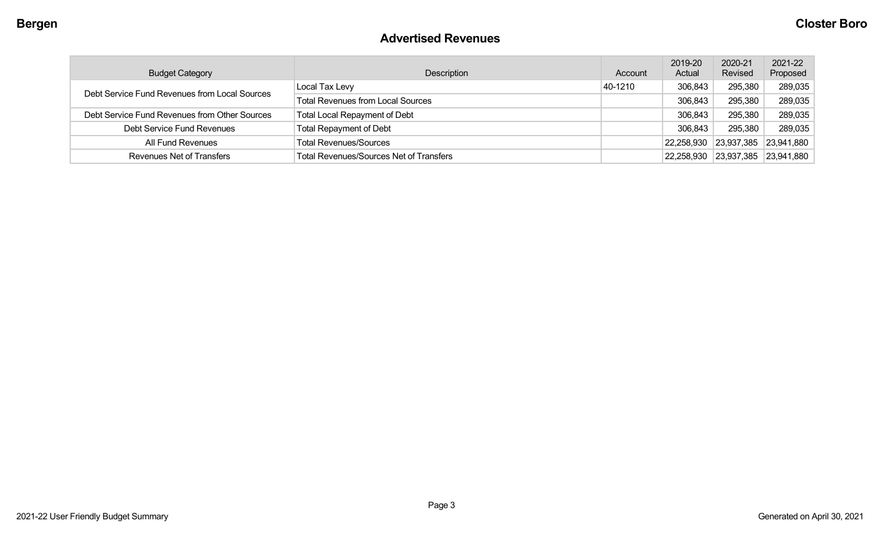#### **Advertised Revenues**

| <b>Budget Category</b>                        | Description                                    | Account | 2019-20<br>Actual             | 2020-21<br>Revised | 2021-22<br>Proposed |
|-----------------------------------------------|------------------------------------------------|---------|-------------------------------|--------------------|---------------------|
| Debt Service Fund Revenues from Local Sources | Local Tax Levy                                 | 40-1210 | 306,843                       | 295,380            | 289,035             |
|                                               | <b>Total Revenues from Local Sources</b>       |         | 306,843                       | 295,380            | 289,035             |
| Debt Service Fund Revenues from Other Sources | <b>Total Local Repayment of Debt</b>           |         | 306,843                       | 295,380            | 289,035             |
| Debt Service Fund Revenues                    | <b>Total Repayment of Debt</b>                 |         | 306,843                       | 295,380            | 289,035             |
| All Fund Revenues                             | <b>Total Revenues/Sources</b>                  |         | $ 22,258,930 \t   23,937,385$ |                    | 23,941,880          |
| Revenues Net of Transfers                     | <b>Total Revenues/Sources Net of Transfers</b> |         | 22,258,930                    | 23,937,385         | 23,941,880          |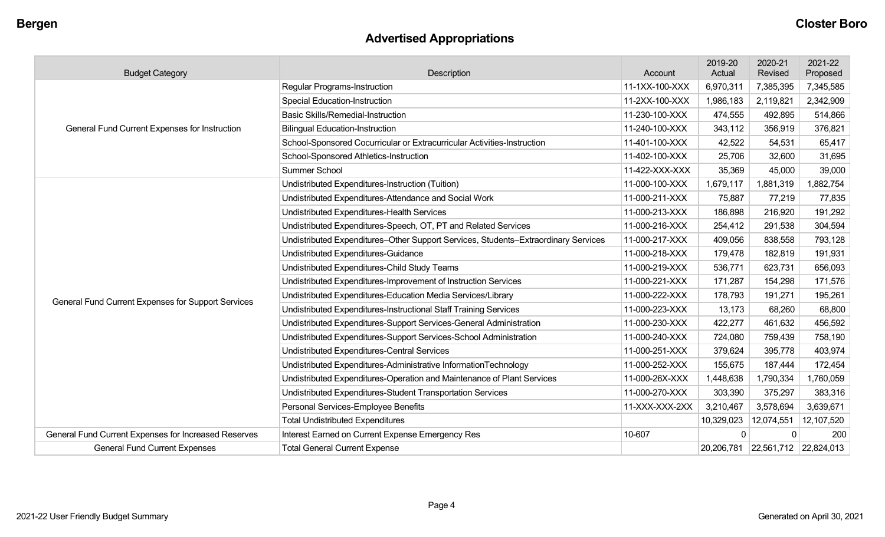# **Advertised Appropriations**

| <b>Budget Category</b>                               | Description                                                                        | Account        | 2019-20<br>Actual | 2020-21<br>Revised    | 2021-22<br>Proposed |
|------------------------------------------------------|------------------------------------------------------------------------------------|----------------|-------------------|-----------------------|---------------------|
|                                                      | <b>Regular Programs-Instruction</b>                                                | 11-1XX-100-XXX | 6,970,311         | 7,385,395             | 7,345,585           |
|                                                      | <b>Special Education-Instruction</b>                                               | 11-2XX-100-XXX | 1,986,183         | 2,119,821             | 2,342,909           |
|                                                      | <b>Basic Skills/Remedial-Instruction</b>                                           | 11-230-100-XXX | 474,555           | 492,895               | 514,866             |
| General Fund Current Expenses for Instruction        | <b>Bilingual Education-Instruction</b>                                             | 11-240-100-XXX | 343,112           | 356,919               | 376,821             |
|                                                      | School-Sponsored Cocurricular or Extracurricular Activities-Instruction            | 11-401-100-XXX | 42,522            | 54,531                | 65,417              |
|                                                      | School-Sponsored Athletics-Instruction                                             | 11-402-100-XXX | 25,706            | 32,600                | 31,695              |
|                                                      | Summer School                                                                      | 11-422-XXX-XXX | 35,369            | 45,000                | 39,000              |
|                                                      | Undistributed Expenditures-Instruction (Tuition)                                   | 11-000-100-XXX | 1,679,117         | 1,881,319             | 1,882,754           |
|                                                      | Undistributed Expenditures-Attendance and Social Work                              | 11-000-211-XXX | 75,887            | 77,219                | 77,835              |
|                                                      | Undistributed Expenditures-Health Services                                         | 11-000-213-XXX | 186,898           | 216,920               | 191,292             |
|                                                      | Undistributed Expenditures-Speech, OT, PT and Related Services                     | 11-000-216-XXX | 254,412           | 291,538               | 304,594             |
|                                                      | Undistributed Expenditures-Other Support Services, Students-Extraordinary Services | 11-000-217-XXX | 409,056           | 838,558               | 793,128             |
|                                                      | <b>Undistributed Expenditures-Guidance</b>                                         | 11-000-218-XXX | 179,478           | 182,819               | 191,931             |
|                                                      | Undistributed Expenditures-Child Study Teams                                       | 11-000-219-XXX | 536,771           | 623,731               | 656,093             |
|                                                      | Undistributed Expenditures-Improvement of Instruction Services                     | 11-000-221-XXX | 171,287           | 154,298               | 171,576             |
| General Fund Current Expenses for Support Services   | Undistributed Expenditures-Education Media Services/Library                        | 11-000-222-XXX | 178,793           | 191,271               | 195,261             |
|                                                      | Undistributed Expenditures-Instructional Staff Training Services                   | 11-000-223-XXX | 13,173            | 68,260                | 68,800              |
|                                                      | Undistributed Expenditures-Support Services-General Administration                 | 11-000-230-XXX | 422,277           | 461,632               | 456,592             |
|                                                      | Undistributed Expenditures-Support Services-School Administration                  | 11-000-240-XXX | 724,080           | 759,439               | 758,190             |
|                                                      | <b>Undistributed Expenditures-Central Services</b>                                 | 11-000-251-XXX | 379,624           | 395,778               | 403,974             |
|                                                      | Undistributed Expenditures-Administrative InformationTechnology                    | 11-000-252-XXX | 155,675           | 187,444               | 172,454             |
|                                                      | Undistributed Expenditures-Operation and Maintenance of Plant Services             | 11-000-26X-XXX | 1,448,638         | 1,790,334             | 1,760,059           |
|                                                      | Undistributed Expenditures-Student Transportation Services                         | 11-000-270-XXX | 303,390           | 375,297               | 383,316             |
|                                                      | Personal Services-Employee Benefits                                                | 11-XXX-XXX-2XX | 3,210,467         | 3,578,694             | 3,639,671           |
|                                                      | <b>Total Undistributed Expenditures</b>                                            |                | 10,329,023        | 12,074,551            | 12,107,520          |
| General Fund Current Expenses for Increased Reserves | Interest Earned on Current Expense Emergency Res                                   | 10-607         | $\Omega$          | 0                     | 200                 |
| <b>General Fund Current Expenses</b>                 | <b>Total General Current Expense</b>                                               |                | 20,206,781        | 22,561,712 22,824,013 |                     |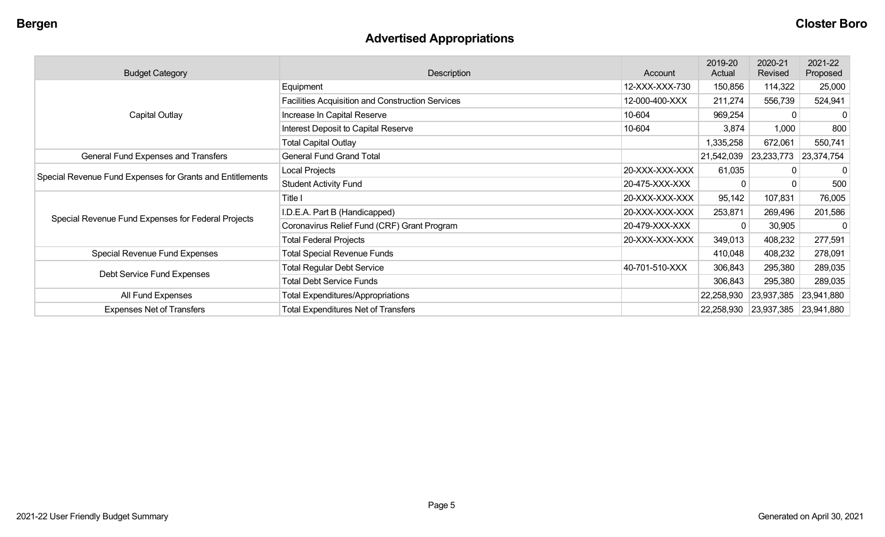# **Advertised Appropriations**

| <b>Budget Category</b><br>Description                     |                                                  | Account        | 2019-20<br>Actual | 2020-21<br>Revised               | 2021-22<br>Proposed |
|-----------------------------------------------------------|--------------------------------------------------|----------------|-------------------|----------------------------------|---------------------|
|                                                           | Equipment                                        | 12-XXX-XXX-730 | 150,856           | 114,322                          | 25,000              |
|                                                           | Facilities Acquisition and Construction Services | 12-000-400-XXX | 211,274           | 556,739                          | 524,941             |
| Capital Outlay                                            | Increase In Capital Reserve                      | 10-604         | 969,254           | $\Omega$                         | -0                  |
|                                                           | <b>Interest Deposit to Capital Reserve</b>       | 10-604         | 3,874             | 1,000                            | 800                 |
|                                                           | <b>Total Capital Outlay</b>                      |                | 1,335,258         | 672,061                          | 550,741             |
| General Fund Expenses and Transfers                       | <b>General Fund Grand Total</b>                  |                | 21,542,039        | 23,233,773                       | 23,374,754          |
|                                                           | Local Projects                                   | 20-XXX-XXX-XXX | 61,035            |                                  | 0                   |
| Special Revenue Fund Expenses for Grants and Entitlements | <b>Student Activity Fund</b>                     | 20-475-XXX-XXX |                   |                                  | 500                 |
|                                                           | Title I                                          | 20-XXX-XXX-XXX | 95,142            | 107,831                          | 76,005              |
|                                                           | I.D.E.A. Part B (Handicapped)                    | 20-XXX-XXX-XXX | 253,871           | 269,496                          | 201,586             |
| Special Revenue Fund Expenses for Federal Projects        | Coronavirus Relief Fund (CRF) Grant Program      | 20-479-XXX-XXX |                   | 30,905                           | $\mathbf 0$         |
|                                                           | <b>Total Federal Projects</b>                    | 20-XXX-XXX-XXX | 349,013           | 408,232                          | 277,591             |
| Special Revenue Fund Expenses                             | <b>Total Special Revenue Funds</b>               |                | 410,048           | 408,232                          | 278,091             |
|                                                           | <b>Total Regular Debt Service</b>                | 40-701-510-XXX | 306,843           | 295,380                          | 289,035             |
| Debt Service Fund Expenses                                | <b>Total Debt Service Funds</b>                  |                | 306,843           | 295,380                          | 289,035             |
| All Fund Expenses                                         | <b>Total Expenditures/Appropriations</b>         |                | 22,258,930        | 23,937,385                       | 23,941,880          |
| <b>Expenses Net of Transfers</b>                          | <b>Total Expenditures Net of Transfers</b>       |                |                   | 22,258,930 23,937,385 23,941,880 |                     |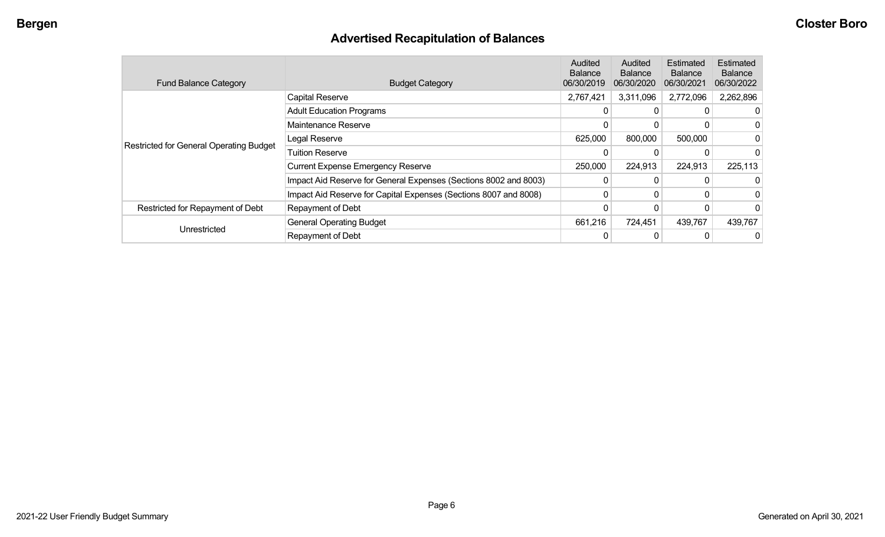# **Advertised Recapitulation of Balances**

| <b>Fund Balance Category</b>                   | <b>Budget Category</b>                                           | Audited<br><b>Balance</b><br>06/30/2019 | Audited<br><b>Balance</b><br>06/30/2020 | Estimated<br><b>Balance</b><br>06/30/2021 | <b>Estimated</b><br><b>Balance</b><br>06/30/2022 |
|------------------------------------------------|------------------------------------------------------------------|-----------------------------------------|-----------------------------------------|-------------------------------------------|--------------------------------------------------|
|                                                | <b>Capital Reserve</b>                                           | 2,767,421                               | 3,311,096                               | 2,772,096                                 | 2,262,896                                        |
|                                                | <b>Adult Education Programs</b>                                  | 0                                       | 0                                       |                                           |                                                  |
|                                                | Maintenance Reserve                                              |                                         | 0                                       |                                           |                                                  |
| <b>Restricted for General Operating Budget</b> | Legal Reserve                                                    | 625,000                                 | 800,000                                 | 500,000                                   |                                                  |
|                                                | <b>Tuition Reserve</b>                                           |                                         |                                         |                                           |                                                  |
|                                                | <b>Current Expense Emergency Reserve</b>                         | 250,000                                 | 224,913                                 | 224,913                                   | 225,113                                          |
|                                                | Impact Aid Reserve for General Expenses (Sections 8002 and 8003) | 0                                       | $\Omega$                                |                                           |                                                  |
|                                                | Impact Aid Reserve for Capital Expenses (Sections 8007 and 8008) | 0                                       | 0                                       |                                           |                                                  |
| Restricted for Repayment of Debt               | Repayment of Debt                                                |                                         |                                         |                                           |                                                  |
|                                                | <b>General Operating Budget</b>                                  | 661,216                                 | 724,451                                 | 439,767                                   | 439,767                                          |
| Unrestricted                                   | Repayment of Debt                                                | 0                                       |                                         |                                           |                                                  |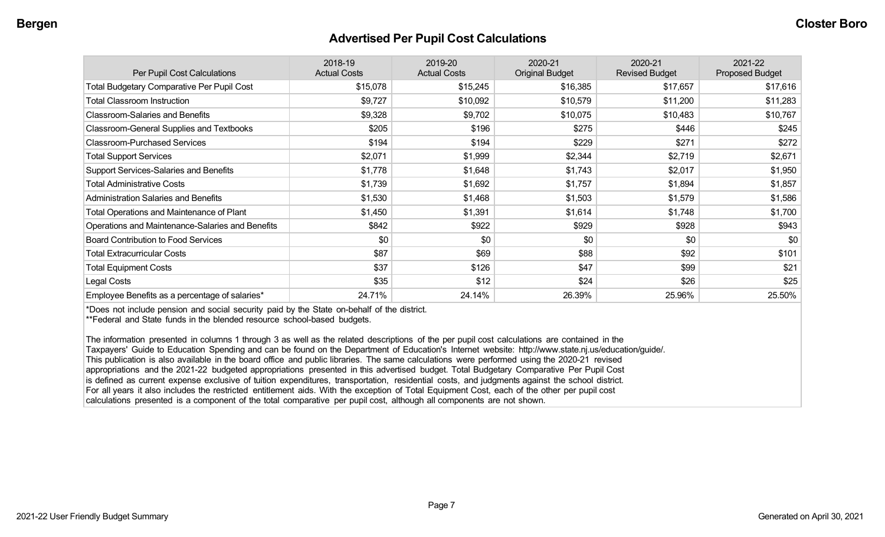#### **Advertised Per Pupil Cost Calculations**

| Per Pupil Cost Calculations                       | 2018-19<br><b>Actual Costs</b> | 2019-20<br><b>Actual Costs</b> | 2020-21<br><b>Original Budget</b> | 2020-21<br><b>Revised Budget</b> | 2021-22<br><b>Proposed Budget</b> |
|---------------------------------------------------|--------------------------------|--------------------------------|-----------------------------------|----------------------------------|-----------------------------------|
| <b>Total Budgetary Comparative Per Pupil Cost</b> | \$15,078                       | \$15,245                       | \$16,385                          | \$17,657                         | \$17,616                          |
| <b>Total Classroom Instruction</b>                | \$9,727                        | \$10,092                       | \$10,579                          | \$11,200                         | \$11,283                          |
| <b>Classroom-Salaries and Benefits</b>            | \$9,328                        | \$9,702                        | \$10,075                          | \$10,483                         | \$10,767                          |
| Classroom-General Supplies and Textbooks          | \$205                          | \$196                          | \$275                             | \$446                            | \$245                             |
| <b>Classroom-Purchased Services</b>               | \$194                          | \$194                          | \$229                             | \$271                            | \$272                             |
| <b>Total Support Services</b>                     | \$2,071                        | \$1,999                        | \$2,344                           | \$2,719                          | \$2,671                           |
| Support Services-Salaries and Benefits            | \$1,778                        | \$1,648                        | \$1,743                           | \$2,017                          | \$1,950                           |
| <b>Total Administrative Costs</b>                 | \$1,739                        | \$1,692                        | \$1,757                           | \$1,894                          | \$1,857                           |
| <b>Administration Salaries and Benefits</b>       | \$1,530                        | \$1,468                        | \$1,503                           | \$1,579                          | \$1,586                           |
| <b>Total Operations and Maintenance of Plant</b>  | \$1,450                        | \$1,391                        | \$1,614                           | \$1,748                          | \$1,700                           |
| Operations and Maintenance-Salaries and Benefits  | \$842                          | \$922                          | \$929                             | \$928                            | \$943                             |
| <b>Board Contribution to Food Services</b>        | \$0                            | \$0                            | \$0                               | \$0                              | \$0                               |
| <b>Total Extracurricular Costs</b>                | \$87                           | \$69                           | \$88                              | \$92                             | \$101                             |
| <b>Total Equipment Costs</b>                      | \$37                           | \$126                          | \$47                              | \$99                             | \$21                              |
| Legal Costs                                       | \$35                           | \$12                           | \$24                              | \$26                             | \$25                              |
| Employee Benefits as a percentage of salaries*    | 24.71%                         | 24.14%                         | 26.39%                            | 25.96%                           | 25.50%                            |

\*Does not include pension and social security paid by the State on-behalf of the district.

\*\*Federal and State funds in the blended resource school-based budgets.

The information presented in columns 1 through 3 as well as the related descriptions of the per pupil cost calculations are contained in the Taxpayers' Guide to Education Spending and can be found on the Department of Education's Internet website: http://www.state.nj.us/education/guide/. This publication is also available in the board office and public libraries. The same calculations were performed using the 2020-21 revised appropriations and the 2021-22 budgeted appropriations presented in this advertised budget. Total Budgetary Comparative Per Pupil Cost is defined as current expense exclusive of tuition expenditures, transportation, residential costs, and judgments against the school district. For all years it also includes the restricted entitlement aids. With the exception of Total Equipment Cost, each of the other per pupil cost calculations presented is a component of the total comparative per pupil cost, although all components are not shown.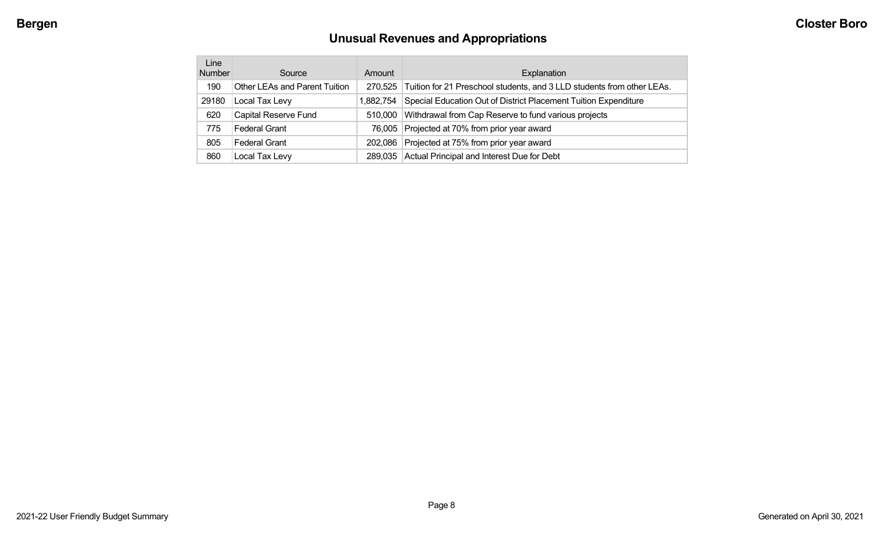# **Unusual Revenues and Appropriations**

| Line<br><b>Number</b> | Source                        | Amount    | Explanation                                                            |
|-----------------------|-------------------------------|-----------|------------------------------------------------------------------------|
| 190                   | Other LEAs and Parent Tuition | 270,525   | Tuition for 21 Preschool students, and 3 LLD students from other LEAs. |
| 29180                 | Local Tax Levy                | 1,882,754 | Special Education Out of District Placement Tuition Expenditure        |
| 620                   | Capital Reserve Fund          | 510,000   | Withdrawal from Cap Reserve to fund various projects                   |
| 775                   | <b>Federal Grant</b>          |           | 76,005 Projected at 70% from prior year award                          |
| 805                   | Federal Grant                 | 202,086   | Projected at 75% from prior year award                                 |
| 860                   | Local Tax Levy                | 289.035   | Actual Principal and Interest Due for Debt                             |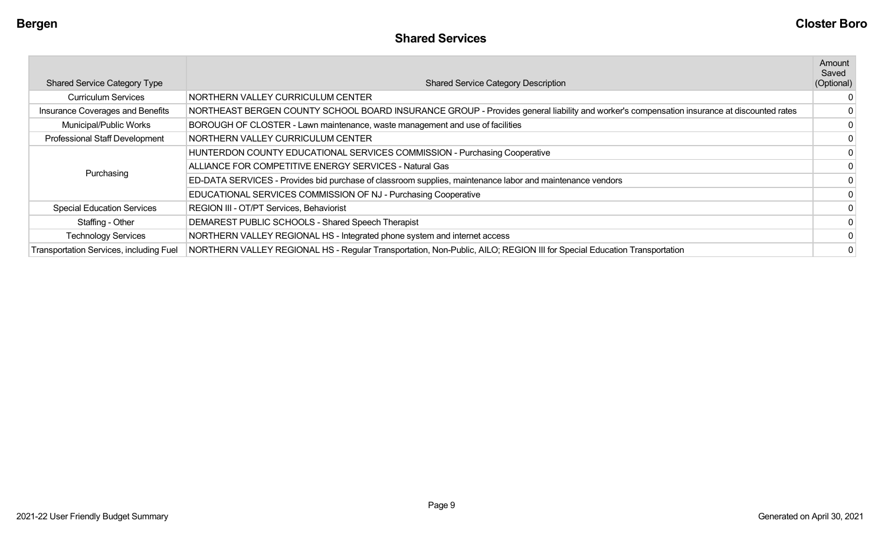| <b>Shared Service Category Type</b>     | <b>Shared Service Category Description</b>                                                                                                | Amount<br>Saved<br>(Optional) |
|-----------------------------------------|-------------------------------------------------------------------------------------------------------------------------------------------|-------------------------------|
| <b>Curriculum Services</b>              | NORTHERN VALLEY CURRICULUM CENTER                                                                                                         |                               |
| Insurance Coverages and Benefits        | NORTHEAST BERGEN COUNTY SCHOOL BOARD INSURANCE GROUP - Provides general liability and worker's compensation insurance at discounted rates |                               |
| Municipal/Public Works                  | BOROUGH OF CLOSTER - Lawn maintenance, waste management and use of facilities                                                             |                               |
| Professional Staff Development          | NORTHERN VALLEY CURRICULUM CENTER                                                                                                         |                               |
|                                         | HUNTERDON COUNTY EDUCATIONAL SERVICES COMMISSION - Purchasing Cooperative                                                                 |                               |
|                                         | ALLIANCE FOR COMPETITIVE ENERGY SERVICES - Natural Gas                                                                                    |                               |
| Purchasing                              | ED-DATA SERVICES - Provides bid purchase of classroom supplies, maintenance labor and maintenance vendors                                 |                               |
|                                         | EDUCATIONAL SERVICES COMMISSION OF NJ - Purchasing Cooperative                                                                            |                               |
| <b>Special Education Services</b>       | REGION III - OT/PT Services, Behaviorist                                                                                                  |                               |
| Staffing - Other                        | DEMAREST PUBLIC SCHOOLS - Shared Speech Therapist                                                                                         | 0                             |
| <b>Technology Services</b>              | NORTHERN VALLEY REGIONAL HS - Integrated phone system and internet access                                                                 |                               |
| Transportation Services, including Fuel | NORTHERN VALLEY REGIONAL HS - Regular Transportation, Non-Public, AILO; REGION III for Special Education Transportation                   |                               |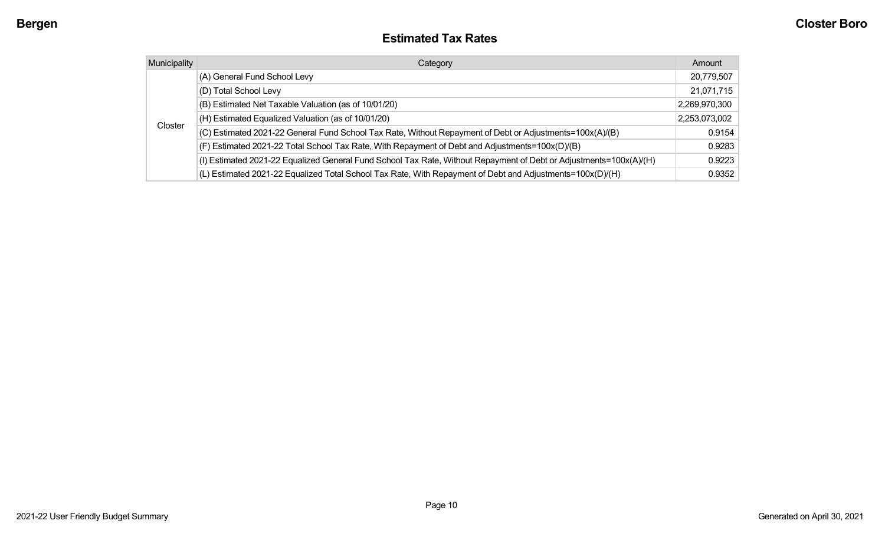#### **Estimated Tax Rates**

| <b>Municipality</b> | Category                                                                                                           | Amount        |
|---------------------|--------------------------------------------------------------------------------------------------------------------|---------------|
|                     | (A) General Fund School Levy                                                                                       | 20,779,507    |
|                     | (D) Total School Levy                                                                                              | 21,071,715    |
|                     | (B) Estimated Net Taxable Valuation (as of 10/01/20)                                                               | 2,269,970,300 |
|                     | (H) Estimated Equalized Valuation (as of 10/01/20)                                                                 | 2,253,073,002 |
| Closter             | (C) Estimated 2021-22 General Fund School Tax Rate, Without Repayment of Debt or Adjustments=100x(A)/(B)           | 0.9154        |
|                     | (F) Estimated 2021-22 Total School Tax Rate, With Repayment of Debt and Adjustments=100x(D)/(B)                    | 0.9283        |
|                     | (I) Estimated 2021-22 Equalized General Fund School Tax Rate, Without Repayment of Debt or Adjustments=100x(A)/(H) | 0.9223        |
|                     | (L) Estimated 2021-22 Equalized Total School Tax Rate, With Repayment of Debt and Adjustments=100x(D)/(H)          | 0.9352        |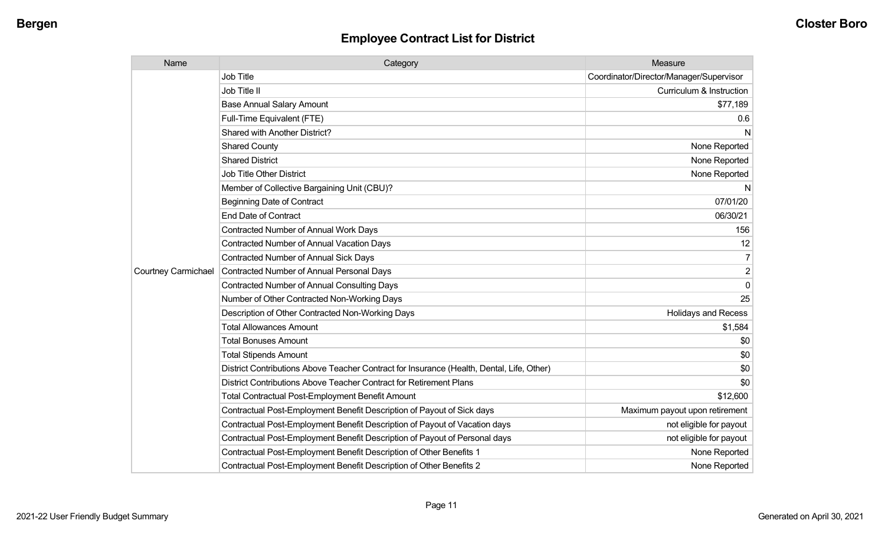| Name                       | Category                                                                                  | Measure                                 |
|----------------------------|-------------------------------------------------------------------------------------------|-----------------------------------------|
|                            | <b>Job Title</b>                                                                          | Coordinator/Director/Manager/Supervisor |
|                            | Job Title II                                                                              | Curriculum & Instruction                |
|                            | <b>Base Annual Salary Amount</b>                                                          | \$77,189                                |
|                            | Full-Time Equivalent (FTE)                                                                | 0.6                                     |
|                            | Shared with Another District?                                                             | N                                       |
|                            | <b>Shared County</b>                                                                      | None Reported                           |
|                            | <b>Shared District</b>                                                                    | None Reported                           |
|                            | <b>Job Title Other District</b>                                                           | None Reported                           |
|                            | Member of Collective Bargaining Unit (CBU)?                                               | N                                       |
|                            | <b>Beginning Date of Contract</b>                                                         | 07/01/20                                |
|                            | <b>End Date of Contract</b>                                                               | 06/30/21                                |
|                            | <b>Contracted Number of Annual Work Days</b>                                              | 156                                     |
|                            | Contracted Number of Annual Vacation Days                                                 | 12                                      |
|                            | <b>Contracted Number of Annual Sick Days</b>                                              | $\overline{7}$                          |
| <b>Courtney Carmichael</b> | Contracted Number of Annual Personal Days                                                 | 2                                       |
|                            | <b>Contracted Number of Annual Consulting Days</b>                                        | $\mathbf 0$                             |
|                            | Number of Other Contracted Non-Working Days                                               | 25                                      |
|                            | Description of Other Contracted Non-Working Days                                          | <b>Holidays and Recess</b>              |
|                            | <b>Total Allowances Amount</b>                                                            | \$1,584                                 |
|                            | <b>Total Bonuses Amount</b>                                                               | \$0                                     |
|                            | <b>Total Stipends Amount</b>                                                              | \$0                                     |
|                            | District Contributions Above Teacher Contract for Insurance (Health, Dental, Life, Other) | \$0                                     |
|                            | District Contributions Above Teacher Contract for Retirement Plans                        | \$0                                     |
|                            | <b>Total Contractual Post-Employment Benefit Amount</b>                                   | \$12,600                                |
|                            | Contractual Post-Employment Benefit Description of Payout of Sick days                    | Maximum payout upon retirement          |
|                            | Contractual Post-Employment Benefit Description of Payout of Vacation days                | not eligible for payout                 |
|                            | Contractual Post-Employment Benefit Description of Payout of Personal days                | not eligible for payout                 |
|                            | Contractual Post-Employment Benefit Description of Other Benefits 1                       | None Reported                           |
|                            | Contractual Post-Employment Benefit Description of Other Benefits 2                       | None Reported                           |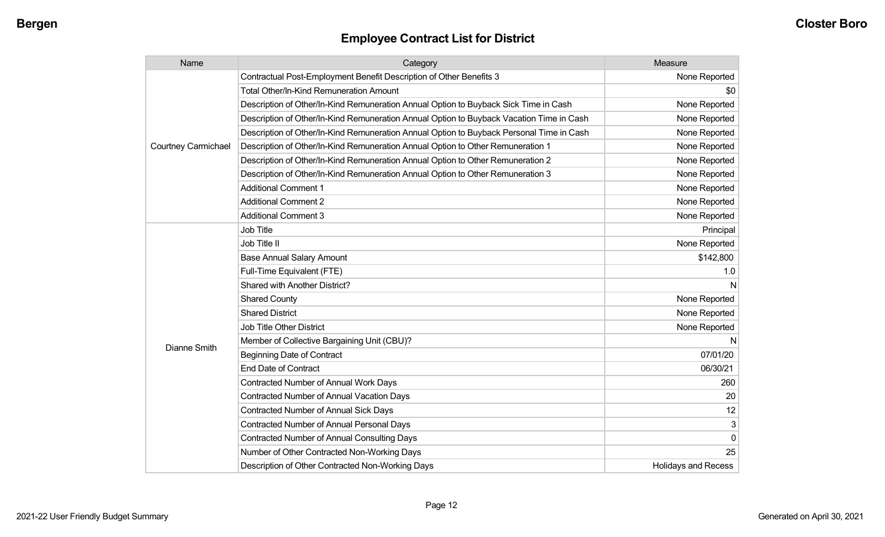| Name                       | Category                                                                                 | Measure                    |
|----------------------------|------------------------------------------------------------------------------------------|----------------------------|
|                            | Contractual Post-Employment Benefit Description of Other Benefits 3                      | None Reported              |
|                            | <b>Total Other/In-Kind Remuneration Amount</b>                                           | \$0                        |
|                            | Description of Other/In-Kind Remuneration Annual Option to Buyback Sick Time in Cash     | None Reported              |
|                            | Description of Other/In-Kind Remuneration Annual Option to Buyback Vacation Time in Cash | None Reported              |
|                            | Description of Other/In-Kind Remuneration Annual Option to Buyback Personal Time in Cash | None Reported              |
| <b>Courtney Carmichael</b> | Description of Other/In-Kind Remuneration Annual Option to Other Remuneration 1          | None Reported              |
|                            | Description of Other/In-Kind Remuneration Annual Option to Other Remuneration 2          | None Reported              |
|                            | Description of Other/In-Kind Remuneration Annual Option to Other Remuneration 3          | None Reported              |
|                            | <b>Additional Comment 1</b>                                                              | None Reported              |
|                            | <b>Additional Comment 2</b>                                                              | None Reported              |
|                            | <b>Additional Comment 3</b>                                                              | None Reported              |
|                            | <b>Job Title</b>                                                                         | Principal                  |
|                            | Job Title II                                                                             | None Reported              |
|                            | <b>Base Annual Salary Amount</b>                                                         | \$142,800                  |
|                            | Full-Time Equivalent (FTE)                                                               | 1.0                        |
|                            | Shared with Another District?                                                            | N                          |
|                            | <b>Shared County</b>                                                                     | None Reported              |
|                            | <b>Shared District</b>                                                                   | None Reported              |
|                            | <b>Job Title Other District</b>                                                          | None Reported              |
| <b>Dianne Smith</b>        | Member of Collective Bargaining Unit (CBU)?                                              | N                          |
|                            | <b>Beginning Date of Contract</b>                                                        | 07/01/20                   |
|                            | <b>End Date of Contract</b>                                                              | 06/30/21                   |
|                            | <b>Contracted Number of Annual Work Days</b>                                             | 260                        |
|                            | <b>Contracted Number of Annual Vacation Days</b>                                         | 20                         |
|                            | <b>Contracted Number of Annual Sick Days</b>                                             | 12                         |
|                            | Contracted Number of Annual Personal Days                                                | 3                          |
|                            | <b>Contracted Number of Annual Consulting Days</b>                                       | $\Omega$                   |
|                            | Number of Other Contracted Non-Working Days                                              | 25                         |
|                            | Description of Other Contracted Non-Working Days                                         | <b>Holidays and Recess</b> |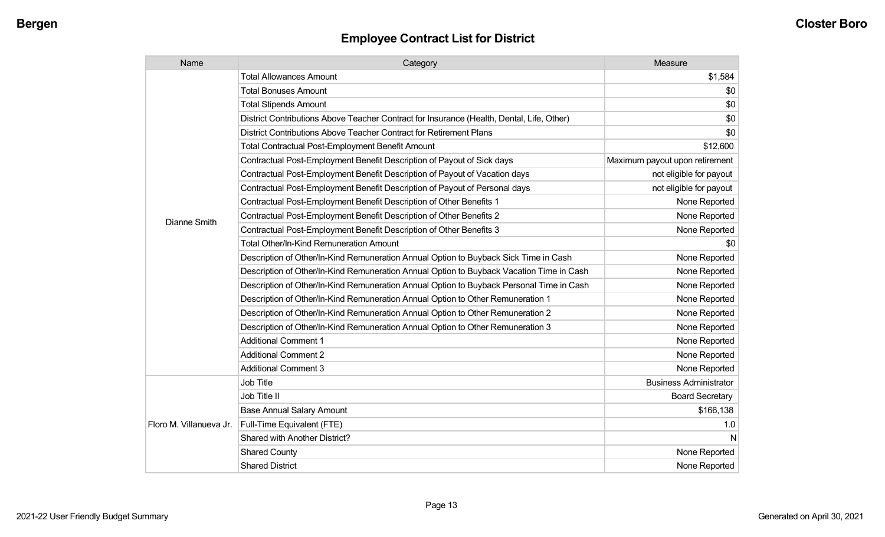| Name                    | Category                                                                                  | Measure                        |
|-------------------------|-------------------------------------------------------------------------------------------|--------------------------------|
|                         | <b>Total Allowances Amount</b>                                                            | \$1,584                        |
|                         | <b>Total Bonuses Amount</b>                                                               | \$0                            |
|                         | <b>Total Stipends Amount</b>                                                              | \$0                            |
|                         | District Contributions Above Teacher Contract for Insurance (Health, Dental, Life, Other) | \$0                            |
|                         | District Contributions Above Teacher Contract for Retirement Plans                        | \$0                            |
|                         | <b>Total Contractual Post-Employment Benefit Amount</b>                                   | \$12,600                       |
|                         | Contractual Post-Employment Benefit Description of Payout of Sick days                    | Maximum payout upon retirement |
|                         | Contractual Post-Employment Benefit Description of Payout of Vacation days                | not eligible for payout        |
|                         | Contractual Post-Employment Benefit Description of Payout of Personal days                | not eligible for payout        |
|                         | Contractual Post-Employment Benefit Description of Other Benefits 1                       | None Reported                  |
| Dianne Smith            | Contractual Post-Employment Benefit Description of Other Benefits 2                       | None Reported                  |
|                         | Contractual Post-Employment Benefit Description of Other Benefits 3                       | None Reported                  |
|                         | Total Other/In-Kind Remuneration Amount                                                   | \$0                            |
|                         | Description of Other/In-Kind Remuneration Annual Option to Buyback Sick Time in Cash      | None Reported                  |
|                         | Description of Other/In-Kind Remuneration Annual Option to Buyback Vacation Time in Cash  | None Reported                  |
|                         | Description of Other/In-Kind Remuneration Annual Option to Buyback Personal Time in Cash  | None Reported                  |
|                         | Description of Other/In-Kind Remuneration Annual Option to Other Remuneration 1           | None Reported                  |
|                         | Description of Other/In-Kind Remuneration Annual Option to Other Remuneration 2           | None Reported                  |
|                         | Description of Other/In-Kind Remuneration Annual Option to Other Remuneration 3           | None Reported                  |
|                         | <b>Additional Comment 1</b>                                                               | None Reported                  |
|                         | <b>Additional Comment 2</b>                                                               | None Reported                  |
|                         | <b>Additional Comment 3</b>                                                               | None Reported                  |
|                         | Job Title                                                                                 | <b>Business Administrator</b>  |
| Floro M. Villanueva Jr. | Job Title II                                                                              | <b>Board Secretary</b>         |
|                         | <b>Base Annual Salary Amount</b>                                                          | \$166,138                      |
|                         | Full-Time Equivalent (FTE)                                                                | 1.0                            |
|                         | Shared with Another District?                                                             | N                              |
|                         | <b>Shared County</b>                                                                      | None Reported                  |
|                         | <b>Shared District</b>                                                                    | None Reported                  |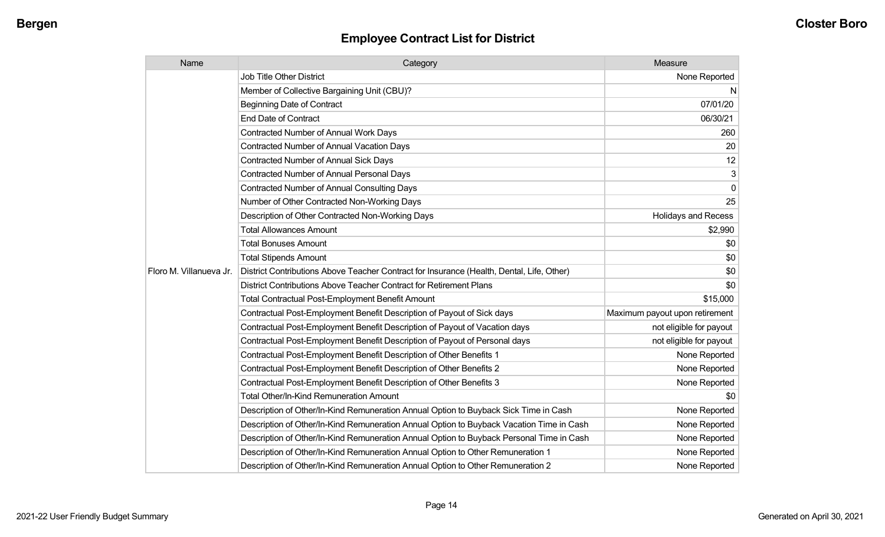| Name                    | Category                                                                                  | Measure                        |
|-------------------------|-------------------------------------------------------------------------------------------|--------------------------------|
|                         | Job Title Other District                                                                  | None Reported                  |
|                         | Member of Collective Bargaining Unit (CBU)?                                               | N                              |
|                         | <b>Beginning Date of Contract</b>                                                         | 07/01/20                       |
|                         | <b>End Date of Contract</b>                                                               | 06/30/21                       |
|                         | Contracted Number of Annual Work Days                                                     | 260                            |
|                         | <b>Contracted Number of Annual Vacation Days</b>                                          | 20                             |
|                         | Contracted Number of Annual Sick Days                                                     | 12                             |
|                         | <b>Contracted Number of Annual Personal Days</b>                                          | 3                              |
|                         | <b>Contracted Number of Annual Consulting Days</b>                                        | $\mathbf 0$                    |
|                         | Number of Other Contracted Non-Working Days                                               | 25                             |
|                         | Description of Other Contracted Non-Working Days                                          | <b>Holidays and Recess</b>     |
|                         | <b>Total Allowances Amount</b>                                                            | \$2,990                        |
|                         | <b>Total Bonuses Amount</b>                                                               | \$0                            |
|                         | <b>Total Stipends Amount</b>                                                              | \$0                            |
| Floro M. Villanueva Jr. | District Contributions Above Teacher Contract for Insurance (Health, Dental, Life, Other) | \$0                            |
|                         | District Contributions Above Teacher Contract for Retirement Plans                        | \$0                            |
|                         | <b>Total Contractual Post-Employment Benefit Amount</b>                                   | \$15,000                       |
|                         | Contractual Post-Employment Benefit Description of Payout of Sick days                    | Maximum payout upon retirement |
|                         | Contractual Post-Employment Benefit Description of Payout of Vacation days                | not eligible for payout        |
|                         | Contractual Post-Employment Benefit Description of Payout of Personal days                | not eligible for payout        |
|                         | Contractual Post-Employment Benefit Description of Other Benefits 1                       | None Reported                  |
|                         | Contractual Post-Employment Benefit Description of Other Benefits 2                       | None Reported                  |
|                         | Contractual Post-Employment Benefit Description of Other Benefits 3                       | None Reported                  |
|                         | <b>Total Other/In-Kind Remuneration Amount</b>                                            | \$0                            |
|                         | Description of Other/In-Kind Remuneration Annual Option to Buyback Sick Time in Cash      | None Reported                  |
|                         | Description of Other/In-Kind Remuneration Annual Option to Buyback Vacation Time in Cash  | None Reported                  |
|                         | Description of Other/In-Kind Remuneration Annual Option to Buyback Personal Time in Cash  | None Reported                  |
|                         | Description of Other/In-Kind Remuneration Annual Option to Other Remuneration 1           | None Reported                  |
|                         | Description of Other/In-Kind Remuneration Annual Option to Other Remuneration 2           | None Reported                  |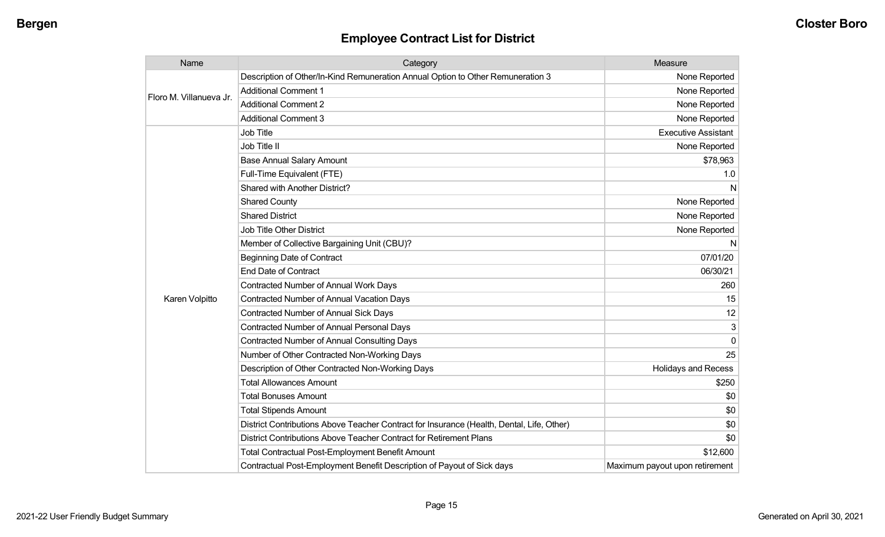| Name                    | Category                                                                                  | Measure                        |
|-------------------------|-------------------------------------------------------------------------------------------|--------------------------------|
| Floro M. Villanueva Jr. | Description of Other/In-Kind Remuneration Annual Option to Other Remuneration 3           | None Reported                  |
|                         | <b>Additional Comment 1</b>                                                               | None Reported                  |
|                         | <b>Additional Comment 2</b>                                                               | None Reported                  |
|                         | <b>Additional Comment 3</b>                                                               | None Reported                  |
|                         | Job Title                                                                                 | <b>Executive Assistant</b>     |
|                         | Job Title II                                                                              | None Reported                  |
|                         | <b>Base Annual Salary Amount</b>                                                          | \$78,963                       |
|                         | Full-Time Equivalent (FTE)                                                                | 1.0                            |
|                         | <b>Shared with Another District?</b>                                                      | N                              |
|                         | <b>Shared County</b>                                                                      | None Reported                  |
|                         | <b>Shared District</b>                                                                    | None Reported                  |
|                         | Job Title Other District                                                                  | None Reported                  |
|                         | Member of Collective Bargaining Unit (CBU)?                                               | N                              |
|                         | <b>Beginning Date of Contract</b>                                                         | 07/01/20                       |
|                         | <b>End Date of Contract</b>                                                               | 06/30/21                       |
|                         | <b>Contracted Number of Annual Work Days</b>                                              | 260                            |
| Karen Volpitto          | <b>Contracted Number of Annual Vacation Days</b>                                          | 15                             |
|                         | <b>Contracted Number of Annual Sick Days</b>                                              | 12                             |
|                         | <b>Contracted Number of Annual Personal Days</b>                                          | 3                              |
|                         | <b>Contracted Number of Annual Consulting Days</b>                                        | $\Omega$                       |
|                         | Number of Other Contracted Non-Working Days                                               | 25                             |
|                         | Description of Other Contracted Non-Working Days                                          | <b>Holidays and Recess</b>     |
|                         | <b>Total Allowances Amount</b>                                                            | \$250                          |
|                         | <b>Total Bonuses Amount</b>                                                               | \$0                            |
|                         | <b>Total Stipends Amount</b>                                                              | \$0                            |
|                         | District Contributions Above Teacher Contract for Insurance (Health, Dental, Life, Other) | \$0                            |
|                         | District Contributions Above Teacher Contract for Retirement Plans                        | \$0                            |
|                         | <b>Total Contractual Post-Employment Benefit Amount</b>                                   | \$12,600                       |
|                         | Contractual Post-Employment Benefit Description of Payout of Sick days                    | Maximum payout upon retirement |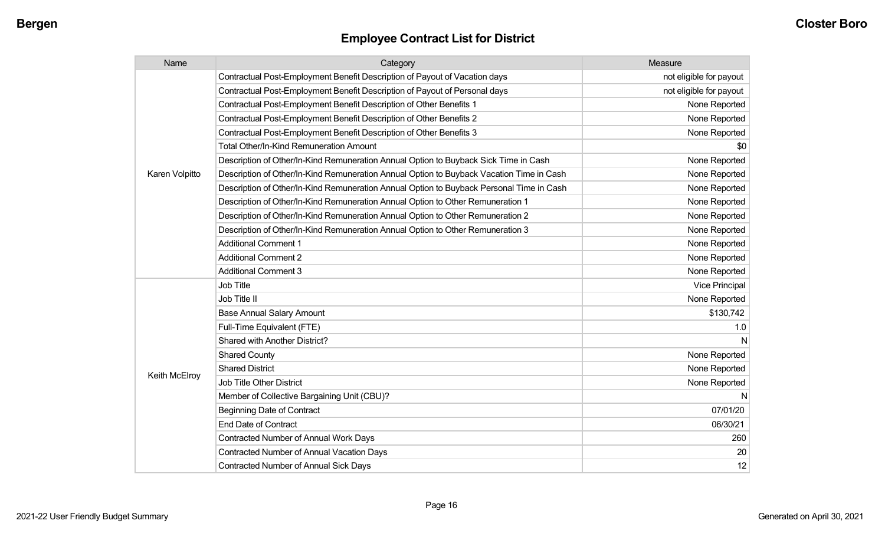| Name           | Category                                                                                 | Measure                 |
|----------------|------------------------------------------------------------------------------------------|-------------------------|
|                | Contractual Post-Employment Benefit Description of Payout of Vacation days               | not eligible for payout |
|                | Contractual Post-Employment Benefit Description of Payout of Personal days               | not eligible for payout |
|                | Contractual Post-Employment Benefit Description of Other Benefits 1                      | None Reported           |
|                | Contractual Post-Employment Benefit Description of Other Benefits 2                      | None Reported           |
|                | Contractual Post-Employment Benefit Description of Other Benefits 3                      | None Reported           |
|                | <b>Total Other/In-Kind Remuneration Amount</b>                                           | \$0                     |
|                | Description of Other/In-Kind Remuneration Annual Option to Buyback Sick Time in Cash     | None Reported           |
| Karen Volpitto | Description of Other/In-Kind Remuneration Annual Option to Buyback Vacation Time in Cash | None Reported           |
|                | Description of Other/In-Kind Remuneration Annual Option to Buyback Personal Time in Cash | None Reported           |
|                | Description of Other/In-Kind Remuneration Annual Option to Other Remuneration 1          | None Reported           |
|                | Description of Other/In-Kind Remuneration Annual Option to Other Remuneration 2          | None Reported           |
|                | Description of Other/In-Kind Remuneration Annual Option to Other Remuneration 3          | None Reported           |
|                | <b>Additional Comment 1</b>                                                              | None Reported           |
|                | <b>Additional Comment 2</b>                                                              | None Reported           |
|                | <b>Additional Comment 3</b>                                                              | None Reported           |
|                | Job Title                                                                                | <b>Vice Principal</b>   |
|                | Job Title II                                                                             | None Reported           |
|                | <b>Base Annual Salary Amount</b>                                                         | \$130,742               |
|                | Full-Time Equivalent (FTE)                                                               | 1.0                     |
|                | Shared with Another District?                                                            | N                       |
|                | <b>Shared County</b>                                                                     | None Reported           |
|                | <b>Shared District</b>                                                                   | None Reported           |
| Keith McElroy  | Job Title Other District                                                                 | None Reported           |
|                | Member of Collective Bargaining Unit (CBU)?                                              | N                       |
|                | <b>Beginning Date of Contract</b>                                                        | 07/01/20                |
|                | <b>End Date of Contract</b>                                                              | 06/30/21                |
|                | <b>Contracted Number of Annual Work Days</b>                                             | 260                     |
|                | <b>Contracted Number of Annual Vacation Days</b>                                         | 20                      |
|                | <b>Contracted Number of Annual Sick Days</b>                                             | 12                      |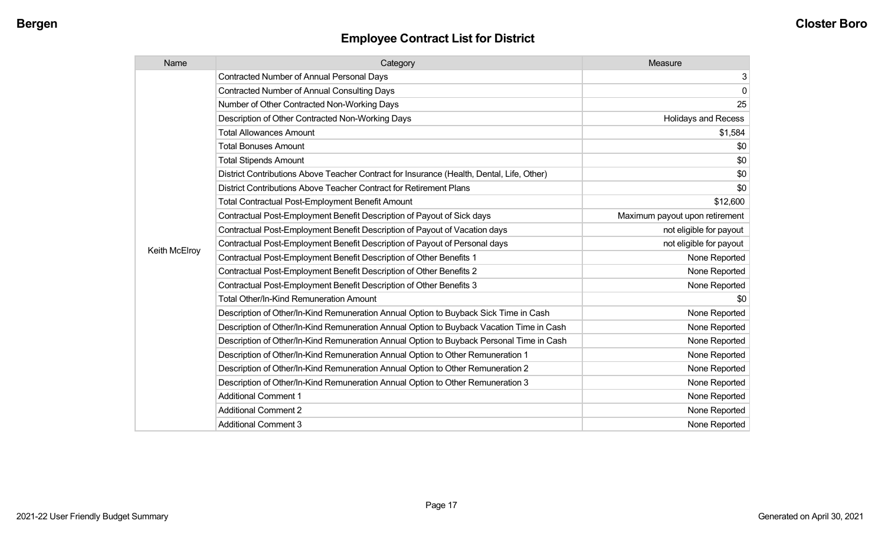| Name          | Category                                                                                  | Measure                        |
|---------------|-------------------------------------------------------------------------------------------|--------------------------------|
|               | <b>Contracted Number of Annual Personal Days</b>                                          | 3                              |
|               | <b>Contracted Number of Annual Consulting Days</b>                                        | $\mathbf 0$                    |
|               | Number of Other Contracted Non-Working Days                                               | 25                             |
|               | Description of Other Contracted Non-Working Days                                          | <b>Holidays and Recess</b>     |
|               | <b>Total Allowances Amount</b>                                                            | \$1,584                        |
|               | <b>Total Bonuses Amount</b>                                                               | \$0                            |
|               | <b>Total Stipends Amount</b>                                                              | \$0                            |
|               | District Contributions Above Teacher Contract for Insurance (Health, Dental, Life, Other) | \$0                            |
|               | District Contributions Above Teacher Contract for Retirement Plans                        | \$0                            |
|               | <b>Total Contractual Post-Employment Benefit Amount</b>                                   | \$12,600                       |
|               | Contractual Post-Employment Benefit Description of Payout of Sick days                    | Maximum payout upon retirement |
|               | Contractual Post-Employment Benefit Description of Payout of Vacation days                | not eligible for payout        |
|               | Contractual Post-Employment Benefit Description of Payout of Personal days                | not eligible for payout        |
| Keith McElroy | Contractual Post-Employment Benefit Description of Other Benefits 1                       | None Reported                  |
|               | Contractual Post-Employment Benefit Description of Other Benefits 2                       | None Reported                  |
|               | Contractual Post-Employment Benefit Description of Other Benefits 3                       | None Reported                  |
|               | <b>Total Other/In-Kind Remuneration Amount</b>                                            | \$0                            |
|               | Description of Other/In-Kind Remuneration Annual Option to Buyback Sick Time in Cash      | None Reported                  |
|               | Description of Other/In-Kind Remuneration Annual Option to Buyback Vacation Time in Cash  | None Reported                  |
|               | Description of Other/In-Kind Remuneration Annual Option to Buyback Personal Time in Cash  | None Reported                  |
|               | Description of Other/In-Kind Remuneration Annual Option to Other Remuneration 1           | None Reported                  |
|               | Description of Other/In-Kind Remuneration Annual Option to Other Remuneration 2           | None Reported                  |
|               | Description of Other/In-Kind Remuneration Annual Option to Other Remuneration 3           | None Reported                  |
|               | <b>Additional Comment 1</b>                                                               | None Reported                  |
|               | <b>Additional Comment 2</b>                                                               | None Reported                  |
|               | <b>Additional Comment 3</b>                                                               | None Reported                  |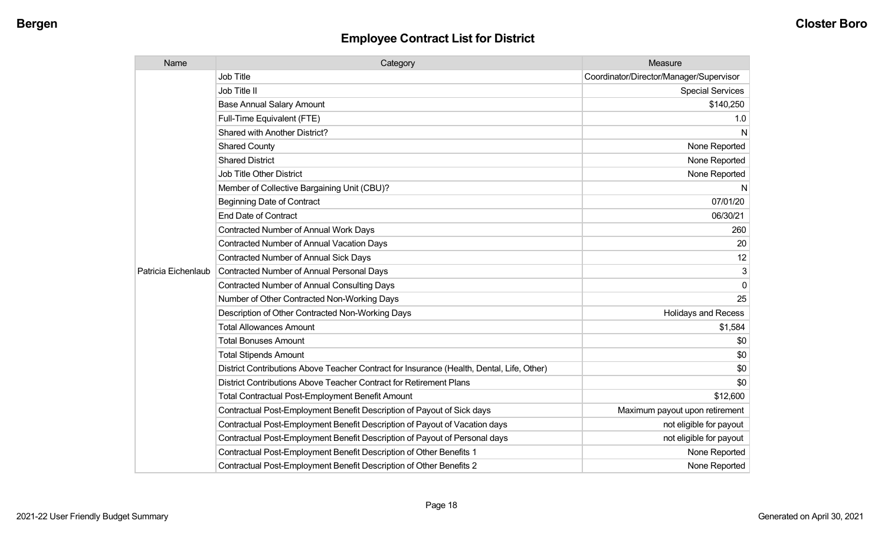| Name                | Category                                                                                  | Measure                                 |
|---------------------|-------------------------------------------------------------------------------------------|-----------------------------------------|
|                     | Job Title                                                                                 | Coordinator/Director/Manager/Supervisor |
|                     | Job Title II                                                                              | <b>Special Services</b>                 |
|                     | <b>Base Annual Salary Amount</b>                                                          | \$140,250                               |
|                     | Full-Time Equivalent (FTE)                                                                | 1.0                                     |
|                     | <b>Shared with Another District?</b>                                                      | N                                       |
|                     | <b>Shared County</b>                                                                      | None Reported                           |
|                     | <b>Shared District</b>                                                                    | None Reported                           |
|                     | <b>Job Title Other District</b>                                                           | None Reported                           |
|                     | Member of Collective Bargaining Unit (CBU)?                                               | N                                       |
|                     | <b>Beginning Date of Contract</b>                                                         | 07/01/20                                |
|                     | <b>End Date of Contract</b>                                                               | 06/30/21                                |
|                     | <b>Contracted Number of Annual Work Days</b>                                              | 260                                     |
|                     | <b>Contracted Number of Annual Vacation Days</b>                                          | 20                                      |
|                     | <b>Contracted Number of Annual Sick Days</b>                                              | 12                                      |
| Patricia Eichenlaub | <b>Contracted Number of Annual Personal Days</b>                                          | 3                                       |
|                     | <b>Contracted Number of Annual Consulting Days</b>                                        | $\Omega$                                |
|                     | Number of Other Contracted Non-Working Days                                               | 25                                      |
|                     | Description of Other Contracted Non-Working Days                                          | <b>Holidays and Recess</b>              |
|                     | <b>Total Allowances Amount</b>                                                            | \$1,584                                 |
|                     | <b>Total Bonuses Amount</b>                                                               | \$0                                     |
|                     | <b>Total Stipends Amount</b>                                                              | \$0                                     |
|                     | District Contributions Above Teacher Contract for Insurance (Health, Dental, Life, Other) | \$0                                     |
|                     | District Contributions Above Teacher Contract for Retirement Plans                        | \$0                                     |
|                     | <b>Total Contractual Post-Employment Benefit Amount</b>                                   | \$12,600                                |
|                     | Contractual Post-Employment Benefit Description of Payout of Sick days                    | Maximum payout upon retirement          |
|                     | Contractual Post-Employment Benefit Description of Payout of Vacation days                | not eligible for payout                 |
|                     | Contractual Post-Employment Benefit Description of Payout of Personal days                | not eligible for payout                 |
|                     | Contractual Post-Employment Benefit Description of Other Benefits 1                       | None Reported                           |
|                     | Contractual Post-Employment Benefit Description of Other Benefits 2                       | None Reported                           |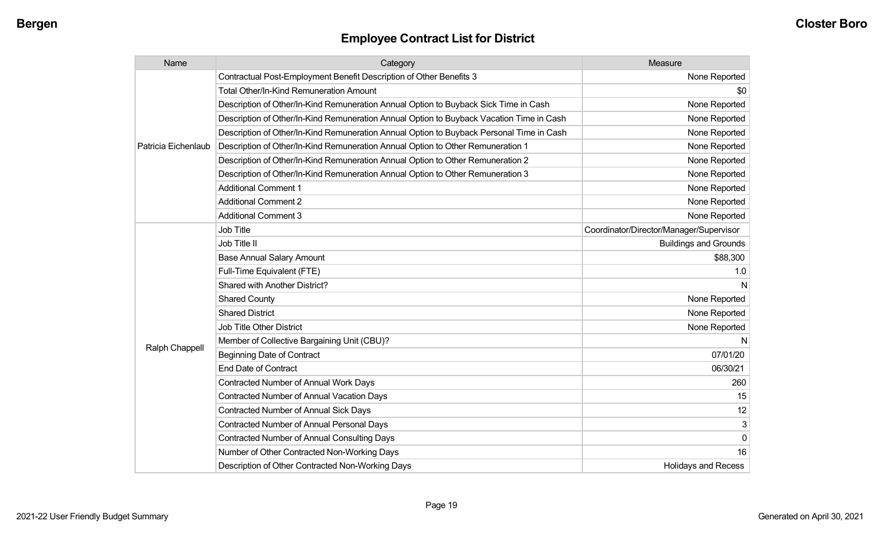| Name                | Category                                                                                 | Measure                                 |
|---------------------|------------------------------------------------------------------------------------------|-----------------------------------------|
|                     | Contractual Post-Employment Benefit Description of Other Benefits 3                      | None Reported                           |
|                     | Total Other/In-Kind Remuneration Amount                                                  | \$0                                     |
|                     | Description of Other/In-Kind Remuneration Annual Option to Buyback Sick Time in Cash     | None Reported                           |
|                     | Description of Other/In-Kind Remuneration Annual Option to Buyback Vacation Time in Cash | None Reported                           |
|                     | Description of Other/In-Kind Remuneration Annual Option to Buyback Personal Time in Cash | None Reported                           |
| Patricia Eichenlaub | Description of Other/In-Kind Remuneration Annual Option to Other Remuneration 1          | None Reported                           |
|                     | Description of Other/In-Kind Remuneration Annual Option to Other Remuneration 2          | None Reported                           |
|                     | Description of Other/In-Kind Remuneration Annual Option to Other Remuneration 3          | None Reported                           |
|                     | <b>Additional Comment 1</b>                                                              | None Reported                           |
|                     | <b>Additional Comment 2</b>                                                              | None Reported                           |
|                     | <b>Additional Comment 3</b>                                                              | None Reported                           |
|                     | Job Title                                                                                | Coordinator/Director/Manager/Supervisor |
|                     | Job Title II                                                                             | <b>Buildings and Grounds</b>            |
|                     | <b>Base Annual Salary Amount</b>                                                         | \$88,300                                |
|                     | Full-Time Equivalent (FTE)                                                               | 1.0                                     |
|                     | Shared with Another District?                                                            | N                                       |
|                     | <b>Shared County</b>                                                                     | None Reported                           |
|                     | <b>Shared District</b>                                                                   | None Reported                           |
|                     | Job Title Other District                                                                 | None Reported                           |
|                     | Member of Collective Bargaining Unit (CBU)?                                              | N                                       |
| Ralph Chappell      | <b>Beginning Date of Contract</b>                                                        | 07/01/20                                |
|                     | <b>End Date of Contract</b>                                                              | 06/30/21                                |
|                     | Contracted Number of Annual Work Days                                                    | 260                                     |
|                     | Contracted Number of Annual Vacation Days                                                | 15                                      |
|                     | Contracted Number of Annual Sick Days                                                    | 12                                      |
|                     | Contracted Number of Annual Personal Days                                                | 3                                       |
|                     | <b>Contracted Number of Annual Consulting Days</b>                                       | 0                                       |
|                     | Number of Other Contracted Non-Working Days                                              | 16                                      |
|                     | Description of Other Contracted Non-Working Days                                         | Holidays and Recess                     |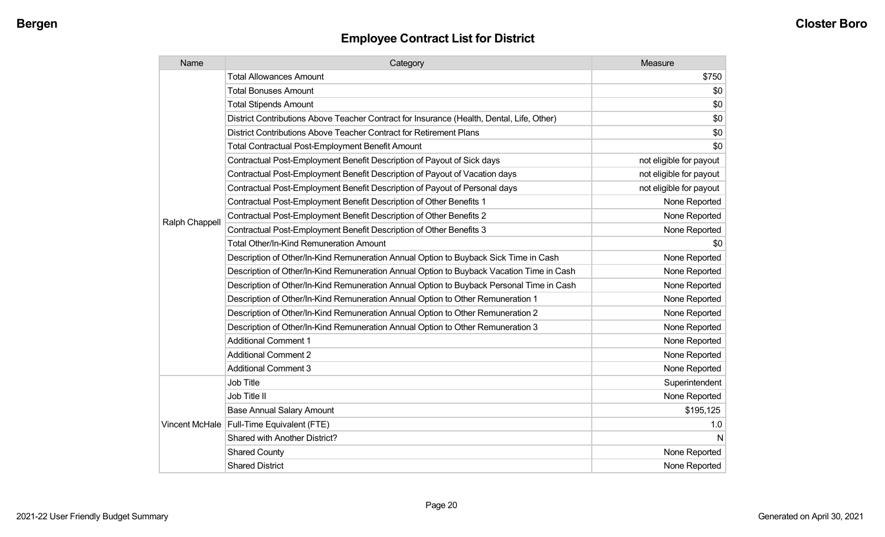| Name           | Category                                                                                  | Measure                 |
|----------------|-------------------------------------------------------------------------------------------|-------------------------|
|                | <b>Total Allowances Amount</b>                                                            | \$750                   |
|                | <b>Total Bonuses Amount</b>                                                               | \$0                     |
|                | <b>Total Stipends Amount</b>                                                              | \$0                     |
|                | District Contributions Above Teacher Contract for Insurance (Health, Dental, Life, Other) | \$0                     |
|                | District Contributions Above Teacher Contract for Retirement Plans                        | \$0                     |
|                | <b>Total Contractual Post-Employment Benefit Amount</b>                                   | \$0                     |
|                | Contractual Post-Employment Benefit Description of Payout of Sick days                    | not eligible for payout |
|                | Contractual Post-Employment Benefit Description of Payout of Vacation days                | not eligible for payout |
|                | Contractual Post-Employment Benefit Description of Payout of Personal days                | not eligible for payout |
|                | Contractual Post-Employment Benefit Description of Other Benefits 1                       | None Reported           |
|                | Contractual Post-Employment Benefit Description of Other Benefits 2                       | None Reported           |
| Ralph Chappell | Contractual Post-Employment Benefit Description of Other Benefits 3                       | None Reported           |
|                | <b>Total Other/In-Kind Remuneration Amount</b>                                            | \$0                     |
|                | Description of Other/In-Kind Remuneration Annual Option to Buyback Sick Time in Cash      | None Reported           |
|                | Description of Other/In-Kind Remuneration Annual Option to Buyback Vacation Time in Cash  | None Reported           |
|                | Description of Other/In-Kind Remuneration Annual Option to Buyback Personal Time in Cash  | None Reported           |
|                | Description of Other/In-Kind Remuneration Annual Option to Other Remuneration 1           | None Reported           |
|                | Description of Other/In-Kind Remuneration Annual Option to Other Remuneration 2           | None Reported           |
|                | Description of Other/In-Kind Remuneration Annual Option to Other Remuneration 3           | None Reported           |
|                | <b>Additional Comment 1</b>                                                               | None Reported           |
|                | <b>Additional Comment 2</b>                                                               | None Reported           |
|                | <b>Additional Comment 3</b>                                                               | None Reported           |
|                | Job Title                                                                                 | Superintendent          |
|                | Job Title II                                                                              | None Reported           |
|                | <b>Base Annual Salary Amount</b>                                                          | \$195,125               |
|                | Vincent McHale   Full-Time Equivalent (FTE)                                               | 1.0                     |
|                | Shared with Another District?                                                             | N                       |
|                | <b>Shared County</b>                                                                      | None Reported           |
|                | <b>Shared District</b>                                                                    | None Reported           |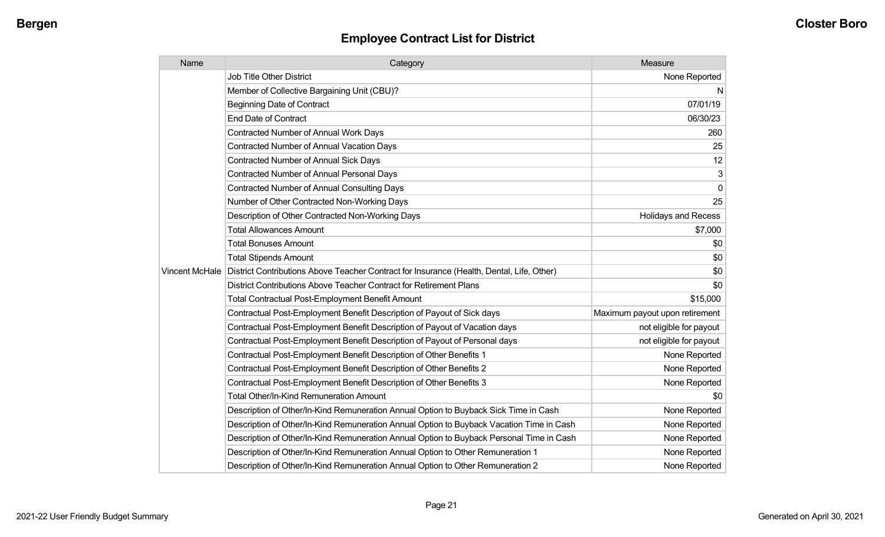| Name | Category                                                                                                   | Measure                        |
|------|------------------------------------------------------------------------------------------------------------|--------------------------------|
|      | <b>Job Title Other District</b>                                                                            | None Reported                  |
|      | Member of Collective Bargaining Unit (CBU)?                                                                | N,                             |
|      | <b>Beginning Date of Contract</b>                                                                          | 07/01/19                       |
|      | <b>End Date of Contract</b>                                                                                | 06/30/23                       |
|      | <b>Contracted Number of Annual Work Days</b>                                                               | 260                            |
|      | <b>Contracted Number of Annual Vacation Days</b>                                                           | 25                             |
|      | <b>Contracted Number of Annual Sick Days</b>                                                               | 12                             |
|      | <b>Contracted Number of Annual Personal Days</b>                                                           | 3                              |
|      | <b>Contracted Number of Annual Consulting Days</b>                                                         | 0                              |
|      | Number of Other Contracted Non-Working Days                                                                | 25                             |
|      | Description of Other Contracted Non-Working Days                                                           | <b>Holidays and Recess</b>     |
|      | <b>Total Allowances Amount</b>                                                                             | \$7,000                        |
|      | <b>Total Bonuses Amount</b>                                                                                | \$0                            |
|      | <b>Total Stipends Amount</b>                                                                               | \$0                            |
|      | Vincent McHale   District Contributions Above Teacher Contract for Insurance (Health, Dental, Life, Other) | \$0                            |
|      | District Contributions Above Teacher Contract for Retirement Plans                                         | \$0                            |
|      | Total Contractual Post-Employment Benefit Amount                                                           | \$15,000                       |
|      | Contractual Post-Employment Benefit Description of Payout of Sick days                                     | Maximum payout upon retirement |
|      | Contractual Post-Employment Benefit Description of Payout of Vacation days                                 | not eligible for payout        |
|      | Contractual Post-Employment Benefit Description of Payout of Personal days                                 | not eligible for payout        |
|      | Contractual Post-Employment Benefit Description of Other Benefits 1                                        | None Reported                  |
|      | Contractual Post-Employment Benefit Description of Other Benefits 2                                        | None Reported                  |
|      | Contractual Post-Employment Benefit Description of Other Benefits 3                                        | None Reported                  |
|      | <b>Total Other/In-Kind Remuneration Amount</b>                                                             | \$0                            |
|      | Description of Other/In-Kind Remuneration Annual Option to Buyback Sick Time in Cash                       | None Reported                  |
|      | Description of Other/In-Kind Remuneration Annual Option to Buyback Vacation Time in Cash                   | None Reported                  |
|      | Description of Other/In-Kind Remuneration Annual Option to Buyback Personal Time in Cash                   | None Reported                  |
|      | Description of Other/In-Kind Remuneration Annual Option to Other Remuneration 1                            | None Reported                  |
|      | Description of Other/In-Kind Remuneration Annual Option to Other Remuneration 2                            | None Reported                  |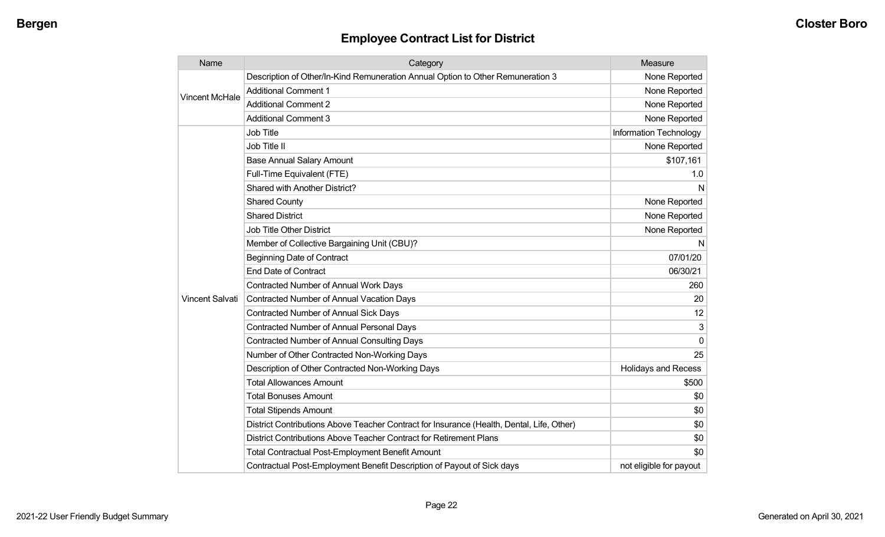| Name                   | Category                                                                                  | Measure                    |
|------------------------|-------------------------------------------------------------------------------------------|----------------------------|
| <b>Vincent McHale</b>  | Description of Other/In-Kind Remuneration Annual Option to Other Remuneration 3           | None Reported              |
|                        | <b>Additional Comment 1</b>                                                               | None Reported              |
|                        | <b>Additional Comment 2</b>                                                               | None Reported              |
|                        | <b>Additional Comment 3</b>                                                               | None Reported              |
|                        | Job Title                                                                                 | Information Technology     |
|                        | Job Title II                                                                              | None Reported              |
|                        | <b>Base Annual Salary Amount</b>                                                          | \$107,161                  |
|                        | Full-Time Equivalent (FTE)                                                                | 1.0                        |
|                        | Shared with Another District?                                                             | N                          |
|                        | <b>Shared County</b>                                                                      | None Reported              |
|                        | <b>Shared District</b>                                                                    | None Reported              |
|                        | <b>Job Title Other District</b>                                                           | None Reported              |
|                        | Member of Collective Bargaining Unit (CBU)?                                               | N                          |
|                        | <b>Beginning Date of Contract</b>                                                         | 07/01/20                   |
|                        | <b>End Date of Contract</b>                                                               | 06/30/21                   |
|                        | <b>Contracted Number of Annual Work Days</b>                                              | 260                        |
| <b>Vincent Salvati</b> | Contracted Number of Annual Vacation Days                                                 | 20                         |
|                        | Contracted Number of Annual Sick Days                                                     | 12                         |
|                        | <b>Contracted Number of Annual Personal Days</b>                                          | 3                          |
|                        | <b>Contracted Number of Annual Consulting Days</b>                                        | $\mathbf 0$                |
|                        | Number of Other Contracted Non-Working Days                                               | 25                         |
|                        | Description of Other Contracted Non-Working Days                                          | <b>Holidays and Recess</b> |
|                        | <b>Total Allowances Amount</b>                                                            | \$500                      |
|                        | <b>Total Bonuses Amount</b>                                                               | \$0                        |
|                        | <b>Total Stipends Amount</b>                                                              | \$0                        |
|                        | District Contributions Above Teacher Contract for Insurance (Health, Dental, Life, Other) | \$0                        |
|                        | District Contributions Above Teacher Contract for Retirement Plans                        | \$0                        |
|                        | <b>Total Contractual Post-Employment Benefit Amount</b>                                   | \$0                        |
|                        | Contractual Post-Employment Benefit Description of Payout of Sick days                    | not eligible for payout    |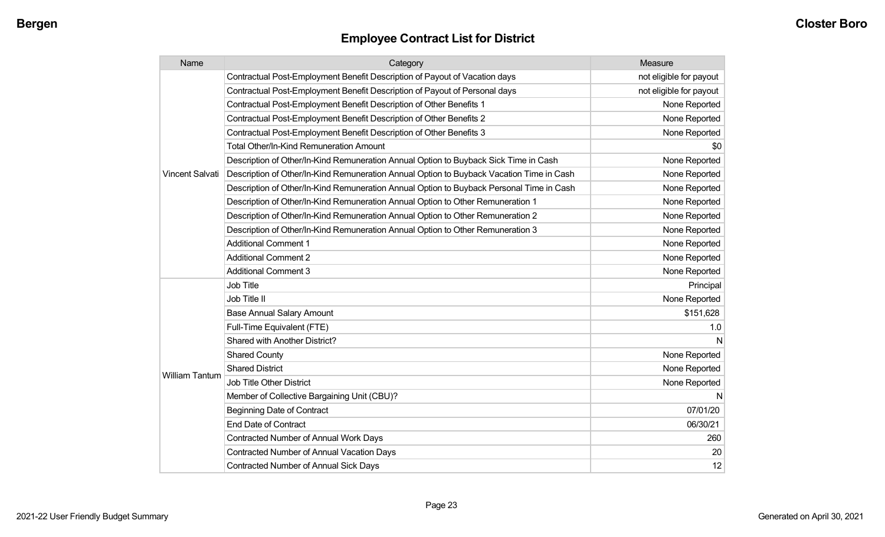| Name                  | Category                                                                                 | Measure                 |
|-----------------------|------------------------------------------------------------------------------------------|-------------------------|
|                       | Contractual Post-Employment Benefit Description of Payout of Vacation days               | not eligible for payout |
|                       | Contractual Post-Employment Benefit Description of Payout of Personal days               | not eligible for payout |
|                       | Contractual Post-Employment Benefit Description of Other Benefits 1                      | None Reported           |
|                       | Contractual Post-Employment Benefit Description of Other Benefits 2                      | None Reported           |
|                       | Contractual Post-Employment Benefit Description of Other Benefits 3                      | None Reported           |
|                       | Total Other/In-Kind Remuneration Amount                                                  | \$0                     |
|                       | Description of Other/In-Kind Remuneration Annual Option to Buyback Sick Time in Cash     | None Reported           |
| Vincent Salvati       | Description of Other/In-Kind Remuneration Annual Option to Buyback Vacation Time in Cash | None Reported           |
|                       | Description of Other/In-Kind Remuneration Annual Option to Buyback Personal Time in Cash | None Reported           |
|                       | Description of Other/In-Kind Remuneration Annual Option to Other Remuneration 1          | None Reported           |
|                       | Description of Other/In-Kind Remuneration Annual Option to Other Remuneration 2          | None Reported           |
|                       | Description of Other/In-Kind Remuneration Annual Option to Other Remuneration 3          | None Reported           |
|                       | <b>Additional Comment 1</b>                                                              | None Reported           |
|                       | <b>Additional Comment 2</b>                                                              | None Reported           |
|                       | <b>Additional Comment 3</b>                                                              | None Reported           |
|                       | <b>Job Title</b>                                                                         | Principal               |
|                       | Job Title II                                                                             | None Reported           |
|                       | <b>Base Annual Salary Amount</b>                                                         | \$151,628               |
|                       | Full-Time Equivalent (FTE)                                                               | 1.0                     |
|                       | Shared with Another District?                                                            | N                       |
|                       | <b>Shared County</b>                                                                     | None Reported           |
|                       | <b>Shared District</b>                                                                   | None Reported           |
| <b>William Tantum</b> | <b>Job Title Other District</b>                                                          | None Reported           |
|                       | Member of Collective Bargaining Unit (CBU)?                                              | N                       |
|                       | <b>Beginning Date of Contract</b>                                                        | 07/01/20                |
|                       | <b>End Date of Contract</b>                                                              | 06/30/21                |
|                       | <b>Contracted Number of Annual Work Days</b>                                             | 260                     |
|                       | Contracted Number of Annual Vacation Days                                                | 20                      |
|                       | <b>Contracted Number of Annual Sick Days</b>                                             | 12                      |